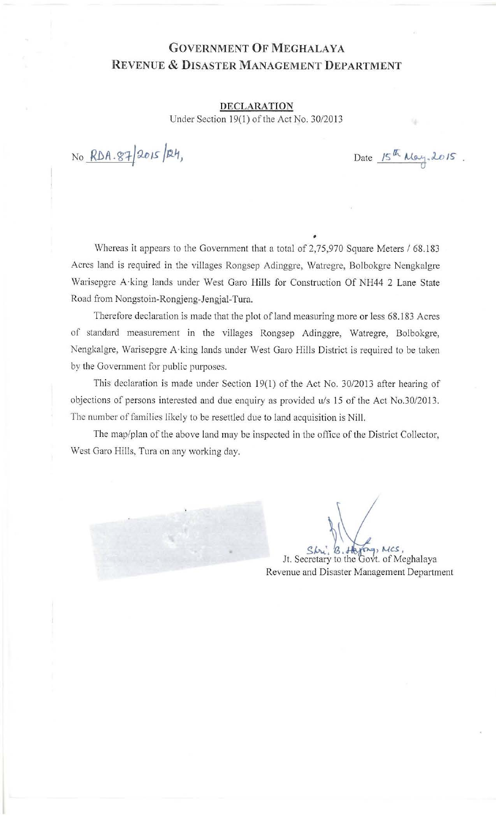## GOVERNMENT OF MEGHALAYA REVENUE & DISASTER MANAGEMENT DEPARTMENT

DECLARATION Under Section 19(1) of the Act No. 30/2013

NO RDA. 87/2015/24,

Date  $15^{th}$  May, 2015.

Whereas it appears to the Government that a total of 2,75,970 Square Meters / 68.183 Acres land is required in the villages Rongsep Adinggre, Watregre, Bolbokgre Nengkalgre Warisepgre A-king lands under West Garo Hills for Construction Of NH44 2 Lane State Road from Nongstoin-Rongjeng-Jengjal-Tura.

•

Therefore declaration is made that the plot of land measuring more or less 68 .183 Acres of standard measurement in the villages Rongsep Adinggre, Watregre, Bolbokgre, Nengkalgre, Warisepgre A·king lands under West Garo Hills District is required to be taken by the Government for public purposes.

This declaration is made under Section 19(1) of the Act No. 30/2013 after hearing of objections of persons interested and due enquiry as provided *u/s* 15 of the Act No.30/2013 . The number of families likely to be resettled due to land acquisition is Nill.

The map/plan of the above land may be inspected in the office of the District Collector, West Garo Hills, Tura on any working day.

Shri, *B.* Haying, Mcs,<br>Jt. Secretary to the Govt. of Meghalaya Revenue and Disaster Management Department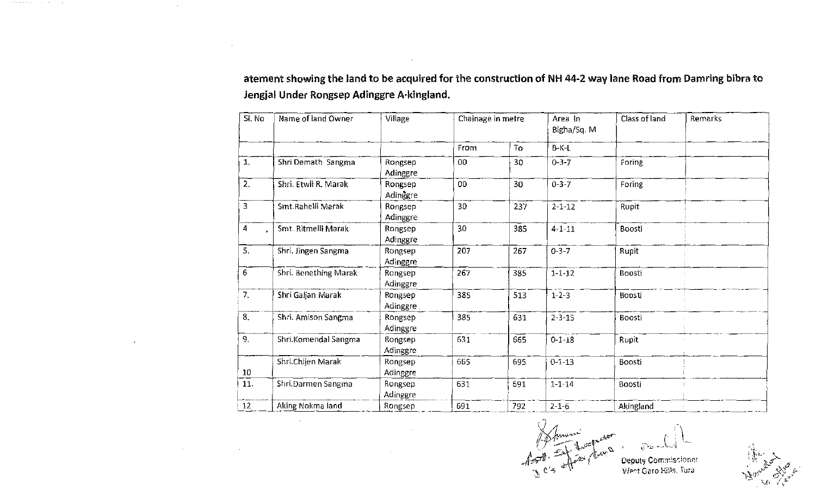atement showing the land to be acquired for the construction of NH 44-2 way lane Road from Damring bibra to Jengjal Under Rongsep Adinggre A·kingland.

 $\sim$ 

 $\sim 10^{11}$  km s  $^{-1}$ 

| SI. No           | Name of land Owner    | Village             | Chainage in metre |     | Area in<br>Bigha/Sq. M | Class of land | Remarks |
|------------------|-----------------------|---------------------|-------------------|-----|------------------------|---------------|---------|
|                  |                       |                     | From              | To  | $B-K-L$                |               |         |
| $\mathbf{1}$     | Shri Demath Sangma    | Rongsep<br>Adinggre | 00                | 30  | $0 - 3 - 7$            | Foring        |         |
| 2.               | Shri. Etwil R. Marak  | Rongsep<br>Adinggre | 00                | 30  | $0 - 3 - 7$            | Foring        |         |
| 3                | Smt.Rahelli Marak     | Rongsep<br>Adinggre | 30                | 237 | $2 - 1 - 12$           | Rupit         |         |
| 4                | Smt. Ritmelli Marak   | Rongsep<br>Adinggre | 30                | 385 | $4 - 1 - 11$           | Boosti        |         |
| 5.               | Shri. Jingen Sangma   | Rongsep<br>Adinggre | 207               | 267 | $0 - 3 - 7$            | Rupit         |         |
| 6                | Shri. Benething Marak | Rongsep<br>Adinggre | 267               | 385 | $1 - 1 - 12$           | Boosti        |         |
| 7.               | Shri Galjan Marak     | Rongsep<br>Adinggre | 385               | 513 | $1 - 2 - 3$            | Boosti        |         |
| $\overline{8}$ . | Shri. Amison Sangma.  | Rongsep<br>Adinggre | 385               | 631 | $2 - 3 - 15$           | Boosti        |         |
| 9.               | Shri Komendal Sangma  | Rongsep<br>Adinggre | 631               | 665 | $0 - 1 - 18$           | Rupit         |         |
| 10               | Shri.Chijen Marak     | Rongsep<br>Adinggre | 665               | 695 | $0 - 1 - 13$           | Boosti        |         |
| 11.              | Shri.Darmen Sangma    | Rongsep<br>Adinggre | 631               | 691 | $1 - 1 - 14$           | Boosti        |         |
| 12               | Aking Nokma land      | Rongsep             | 691               | 792 | $2 - 1 - 6$            | Akingland     |         |

 $(7)$ 1 time present  $\sim$   $\frac{C}{5}$   $\frac{d\pi}{d\theta}$  $\mathcal{L}^{\perp}$ 

Deputy Commiscioner Went Garo Hills. Tura.

>-t l,. ~ L ".:J "" ' -,:;,,,"" ",1'~.  $\mathbb{R}^n \times \mathbb{R}^n \times \mathbb{R}^n$  .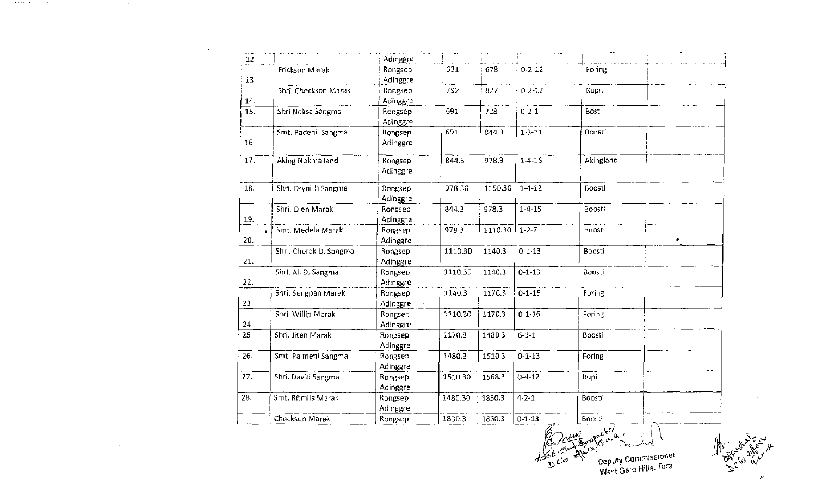| 12  |                        | Adinggre            |         |         |              |           |   |
|-----|------------------------|---------------------|---------|---------|--------------|-----------|---|
| 13. | Frickson Marak         | Rongsep<br>Adinggre | 631     | 678     | $0 - 2 - 12$ | Foring    |   |
| 14. | Shri, Checkson Marak   | Rongsep<br>Adinggre | 792     | 827     | $0 - 2 - 12$ | Rupit     |   |
| 15. | Shri Neksa Sangma      | Rongsep<br>Adinggre | 691     | 728     | $0 - 2 - 1$  | Bosti     |   |
| 16  | Smt. Padeni Sangma     | Rongsep<br>Adinggre | 691     | 844.3   | $1 - 3 - 11$ | Boosti    |   |
| 17. | Aking Nokma land       | Rongsep<br>Adinggre | 844.3   | 978.3   | $1 - 4 - 15$ | Akingland |   |
| 18. | Shri, Drynith Sangma   | Rongsep<br>Adinggre | 978.30  | 1150.30 | $1 - 4 - 12$ | Boosti    |   |
| 19. | Shri, Ojen Marak       | Rongsep<br>Adinggre | 844.3   | 978.3   | $1 - 4 - 15$ | Boosti    |   |
| 20. | Smt. Medela Marak      | Rongsep<br>Adinggre | 978.3   | 1110.30 | $1 - 2 - 7$  | Boosti    | ٠ |
| 21. | Shri, Cherak D. Sangma | Rongsep<br>Adinggre | 1110.30 | 1140.3  | $0 - 1 - 13$ | Boosti    |   |
| 22. | Shri. Ali D. Sangma    | Rongsep<br>Adinggre | 1110.30 | 1140.3  | $0 - 1 - 13$ | Boosti    |   |
| 23  | Shri, Sengpan Marak    | Rongsep<br>Adinggre | 1140.3  | 1170.3  | $0 - 1 - 16$ | Foring    |   |
| 24  | Shri. Willip Marak     | Rongsep<br>Adinggre | 1110.30 | 1170.3  | $0 - 1 - 16$ | Foring    |   |
| 25  | Shri, Jiten Marak      | Rongsep<br>Adinggre | 1170.3  | 1480.3  | $6 - 1 - 1$  | Boosti    |   |
| 26. | Smt. Palmeni Sangma    | Rongsep<br>Adinggre | 1480.3  | 1510.3  | $0 - 1 - 13$ | Foring    |   |
| 27. | Shri. David Sangma     | Rongsep<br>Adinggre | 1510.30 | 1568.3  | $0 - 4 - 12$ | Rupit     |   |
| 28. | Smt. Ritmila Marak     | Rongsep<br>Adinggre | 1480.30 | 1830.3  | $4 - 2 - 1$  | Boosti    |   |
|     | Checkson Marak         | Rongsep             | 1830.3  | 1860.3  | $0 - 1 - 13$ | Boosti    |   |

 $\sim 10^{-1}$ 

 $\sim 100$ 

 $\sim$ 

gently . no live Ceputy Commissionel<br>West Garo Hills, Tura  $\int_{D}^{L} C \phi$ 

De Classic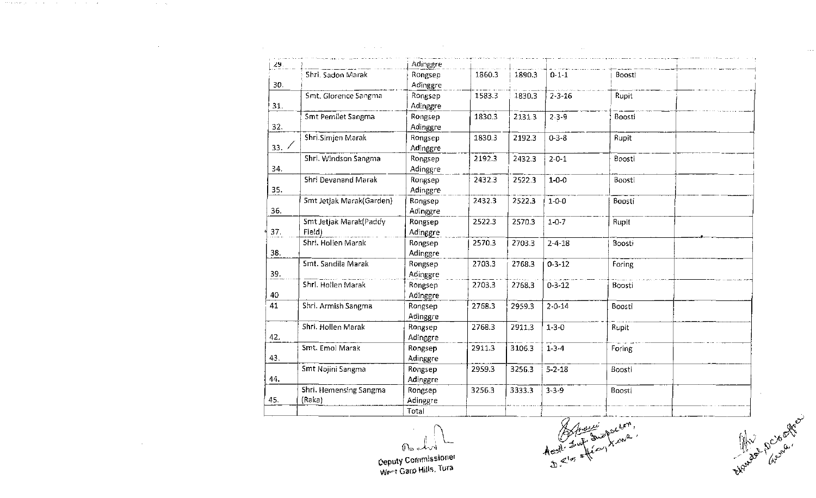| 29.  |                          | Adinggre            |        |        |              |        |  |
|------|--------------------------|---------------------|--------|--------|--------------|--------|--|
|      | Shri, Sadon Marak        | Rongsep             | 1860.3 | 1890.3 | $0 - 1 - 1$  | Boosti |  |
| 30.  |                          | Adinggre            |        |        |              |        |  |
| 31.  | Smt. Glorence Sangma     | Rongsep             | 1583.3 | 1830.3 | $2 - 3 - 16$ | Rupit  |  |
|      | Smt Pemilet Sangma       | Adinggre            | 1830.3 |        | $2 - 3 - 9$  | Boosti |  |
| 32.  |                          | Rongsep             |        | 2131.3 |              |        |  |
|      | Shri.Simjen Marak        | Adinggre            | 1830.3 | 2192.3 | $0 - 3 - 8$  | Rupit  |  |
| 33.7 |                          | Rongsep<br>Adinggre |        |        |              |        |  |
|      | Shri. Windson Sangma     | Rongsep             | 2192.3 | 2432.3 | $2 - 0 - 1$  | Boosti |  |
| 34.  |                          | Adinggre            |        |        |              |        |  |
|      | Shri Devanand Marak      | Rongsep             | 2432.3 | 2522.3 | $1 - 0 - 0$  | Boosti |  |
| 35.  |                          | Adinggre            |        |        |              |        |  |
|      | Smt Jetjak Marak(Garden) | Rongsep             | 2432.3 | 2522.3 | $1 - 0 - 0$  | Boosti |  |
| 36.  |                          | Adinggre            |        |        |              |        |  |
|      | Smt Jetjak Marak(Paddy   | Rongsep             | 2522.3 | 2570.3 | $1 - 0 - 7$  | Rupit  |  |
| 37.  | Field)                   | Adinggre            |        |        |              |        |  |
|      | Shri. Hollen Marak       | Rongsep             | 2570.3 | 2703.3 | $2 - 4 - 18$ | Boosti |  |
| 38.  |                          | Adinggre            |        |        |              |        |  |
|      | Smt. Sandila Marak       | Rongsep             | 2703.3 | 2768.3 | $0 - 3 - 12$ | Foring |  |
| 39.  |                          | Adinggre            |        |        |              |        |  |
|      | Shri. Hollen Marak       | Rongsep             | 2703.3 | 2768.3 | $0 - 3 - 12$ | Boosti |  |
| 40   |                          | Adinggre            |        |        |              |        |  |
| 41   | Shri. Armish Sangma      | Rongsep             | 2768.3 | 2959.3 | $2 - 0 - 14$ | Boosti |  |
|      |                          | Adinggre            |        |        |              |        |  |
|      | Shri. Hollen Marak       | Rongsep             | 2768.3 | 2911.3 | $1 - 3 - 0$  | Rupit  |  |
| 42.  |                          | Adinggre            |        |        |              |        |  |
|      | Smt. Emol Marak          | Rongsep             | 2911.3 | 3106.3 | $1 - 3 - 4$  | Foring |  |
| 43.  |                          | Adinggre            |        |        |              |        |  |
|      | Smt Nojini Sangma        | Rongsep             | 2959.3 | 3256.3 | $5 - 2 - 18$ | Boosti |  |
| 44.  |                          | Adinggre            |        |        |              |        |  |
|      | Shri. Hemensing Sangma   | Rongsep             | 3256.3 | 3333.3 | $3 - 3 - 9$  | Boosti |  |
| 45.  | (Raka)                   | Adinggre            |        |        |              |        |  |
|      |                          | Total               |        |        |              |        |  |

 $U_{\rm b}$  ( $U_{\rm b}$ ,  $U_{\rm b}$ ,  $U_{\rm b}$ ,  $U_{\rm b}$ ,  $U_{\rm b}$ ,  $U_{\rm b}$ ,  $U_{\rm b}$ ,  $U_{\rm b}$ ,  $U_{\rm b}$ ,  $U_{\rm b}$ ,  $U_{\rm b}$ ,  $U_{\rm b}$ ,  $U_{\rm b}$ ,  $U_{\rm b}$ ,  $U_{\rm b}$ ,  $U_{\rm b}$ ,  $U_{\rm b}$ ,  $U_{\rm b}$ ,  $U_{\rm b}$ ,  $U_{\rm b}$ ,  $U_{\rm b}$ ,  $A \cdot B \cdot \frac{1}{2} \cdot \frac{1}{4} \cdot \frac{1}{2} \cdot \frac{1}{2} \cdot \frac{1}{2} \cdot \frac{1}{2} \cdot \frac{1}{2} \cdot \frac{1}{2} \cdot \frac{1}{2} \cdot \frac{1}{2} \cdot \frac{1}{2} \cdot \frac{1}{2} \cdot \frac{1}{2} \cdot \frac{1}{2} \cdot \frac{1}{2} \cdot \frac{1}{2} \cdot \frac{1}{2} \cdot \frac{1}{2} \cdot \frac{1}{2} \cdot \frac{1}{2} \cdot \frac{1}{2} \cdot \frac{1}{2} \cdot \frac{1}{2} \cdot \frac{1}{2}$ 

 $\sim 10^{-1}$ 

**Oeputy** Cornmlssione' West Garp Hills, Tura

a state ethnique and contact and contact and contact and contact

and the content

 $\sim$ 

 $\mathcal{O}(\mathcal{A}^{\mathcal{A}})$  and  $\mathcal{O}(\mathcal{A}^{\mathcal{A}})$  and  $\mathcal{O}(\mathcal{A}^{\mathcal{A}})$ 

 $\sim 300$ 

 $\mathcal{A}^{\mathcal{A}}$  ,  $\mathcal{A}^{\mathcal{A}}$  ,  $\mathcal{A}^{\mathcal{A}}$ 

th water of the contract of the contract of the contract of the contract of the contract of the contract of the contract of the contract of the contract of the contract of the contract of the contract of the contract of th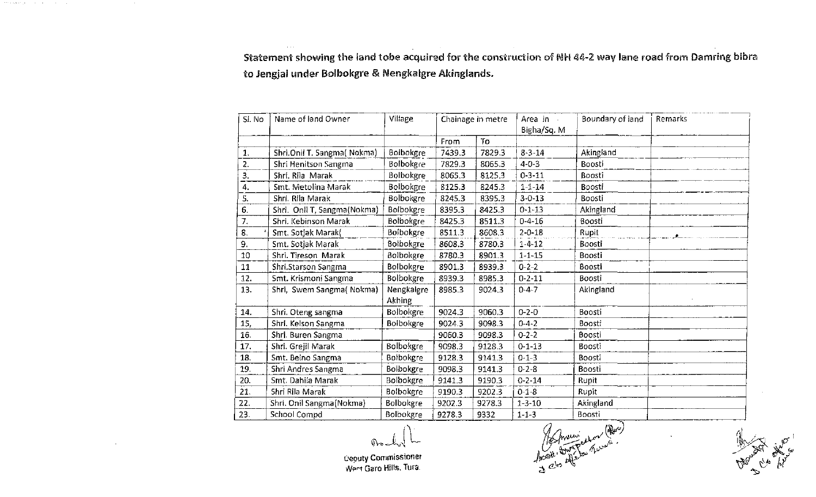Statement showing the land tobe acquired for the construction of NH 44-2 way lane road from Damring bibra to Jengjal under Bolbokgre & Nengkalgre Akinglands.

| SI. No         | Name of land Owner          | Village<br>Chainage in metre |        | Area in<br>Bigha/Sq. M | Boundary of land | Remarks   |  |
|----------------|-----------------------------|------------------------------|--------|------------------------|------------------|-----------|--|
|                |                             |                              | From   | To                     |                  |           |  |
| $\mathbf{1}$ . | Shri.Onil T. Sangma(Nokma)  | Bolbokgre                    | 7439.3 | 7829.3                 | $8 - 3 - 14$     | Akingland |  |
| 2.             | Shri Henitson Sangma        | Bolbokgre                    | 7829.3 | 8065.3                 | $4 - 0 - 3$      | Boosti    |  |
| 3.             | Shri, Rila Marak            | Bolbokgre                    | 8065.3 | 8125.3                 | $0 - 3 - 11$     | Boosti    |  |
| 4.             | Smt. Metolina Marak         | Bolbokgre                    | 8125.3 | 8245.3                 | $1 - 1 - 14$     | Boosti    |  |
| 5.             | Shri. Rila Marak            | Bolbokgre                    | 8245.3 | 8395.3                 | $3 - 0 - 13$     | Boosti    |  |
| 6.             | Shri. Onil T, Sangma(Nokma) | Bolbokgre                    | 8395.3 | 8425.3                 | $0 - 1 - 13$     | Akingland |  |
| 7.             | Shri, Kebinson Marak        | Bolbokgre                    | 8425.3 | 8511.3                 | $0 - 4 - 16$     | Boosti    |  |
| 8.             | Smt. Sotjak Marak(          | Bolbokgre                    | 8511.3 | 8608.3                 | $2 - 0 - 18$     | Rupit     |  |
| 9.             | Smt. Sotjak Marak           | Bolbokgre                    | 8608.3 | 8780.3                 | $1 - 4 - 12$     | Boosti    |  |
| 10             | Shri. Tireson Marak         | Bolbokgre                    | 8780.3 | 8901.3                 | $1 - 1 - 15$     | Boosti    |  |
| 11             | Shri.Starson Sangma         | Bolbokgre                    | 8901.3 | 8939.3                 | $0 - 2 - 2$      | Boosti    |  |
| 12.            | Smt. Krismoni Sangma        | Bolbokgre                    | 8939.3 | 8985.3                 | $0 - 2 - 11$     | Boosti    |  |
| 13.            | Shri, Swem Sangma(Nokma)    | Nengkalgre<br>Akhing         | 8985.3 | 9024.3                 | $0 - 4 - 7$      | Akingland |  |
| 14.            | Shri. Oteng sangma          | Bolbokgre                    | 9024.3 | 9060,3                 | $0 - 2 - 0$      | Boosti    |  |
| 15,            | Shri. Kelson Sangma         | Boibokgre                    | 9024.3 | 9098.3                 | $0 - 4 - 2$      | Boosti    |  |
| 16.            | Shri. Buren Sangma          |                              | 9060.3 | 9098.3                 | $0 - 2 - 2$      | Boosti    |  |
| 17.            | Shri. Grejil Marak          | Bolbokgre                    | 9098.3 | 9128.3                 | $0 - 1 - 13$     | Boosti    |  |
| 18.            | Smt. Belno Sangma           | Bolbokgre                    | 9128.3 | 9141.3                 | $0 - 1 - 3$      | Boosti    |  |
| 19.            | Shri Andres Sangma          | Bolbokgre                    | 9098.3 | 9141.3                 | $0 - 2 - 8$      | Boosti    |  |
| 20.            | Smt. Dahila Marak           | Bolbokgre                    | 9141.3 | 9190.3                 | $0 - 2 - 14$     | Rupit     |  |
| 21.            | Shri Rila Marak             | Bolbokgre                    | 9190.3 | 9202.3                 | $0 - 1 - 8$      | Rupit     |  |
| 22.            | Shri. Onil Sangma(Nokma)    | <b>Bolbokgre</b>             | 9202.3 | 9278.3                 | $1 - 3 - 10$     | Akingland |  |
| 23.            | School Compd                | Bolbokgre                    | 9278.3 | 9332                   | $1 - 1 - 3$      | Boosti    |  |

ueputy Commissioner '/IJp.<-t Garo HiHr-o. Tura.

which is expected as a simple subset of the set of  $\mathcal{A}$  , and  $\mathcal{A}$ 

 $\frac{1}{\sqrt{2}}$  ,  $\frac{1}{\sqrt{2}}$  ,  $\frac{1}{\sqrt{2}}$  ,  $\frac{1}{\sqrt{2}}$  ,  $\frac{1}{\sqrt{2}}$  ,  $\frac{1}{\sqrt{2}}$  ,  $\frac{1}{\sqrt{2}}$  $\lim_{x\to 0^+}\lim_{x\to 0^+}\lim_{x\to 0^+}\lim_{x\to 0^+}$ 

 $\mathbb{E} \times \mathbb{R}$  in  $\mathbb{E}$ **ARE CA WAY**  $\mathcal{L}_{\mathcal{A}}$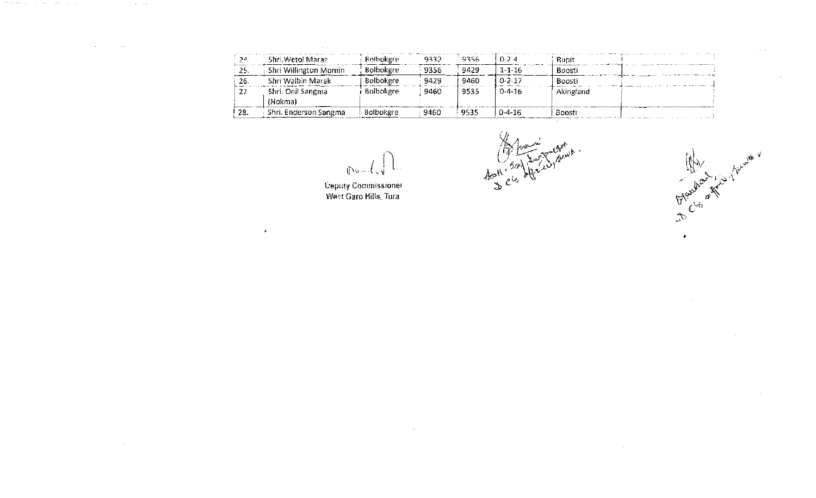|       | Shri, Wetol Marak     | <b>Bolbokgre</b> | 9332 | 9356 | $0 - 2 = 4$  | Runit     |  |
|-------|-----------------------|------------------|------|------|--------------|-----------|--|
| - 25. | Shri Willington Momin | <b>Bolbokgre</b> | 9356 | 9429 | $1 - 1 - 16$ | Boosti    |  |
| -26.  | Shri Walbin Marak     | Bolbokgre        | 9429 | 9460 | $0 - 2 - 17$ | Boosti    |  |
| -27   | Shri. Onil Sangma     | Bolbokgre        | 9460 | 9535 | $0 - 4 - 16$ | Akingland |  |
|       | (Nokma)               |                  |      |      |              |           |  |
| 28.   | Shri. Enderson Sangma | Bolbokgre        | 9460 | 9535 | $0 - 4 - 16$ | Boosti    |  |

 $0$  and  $\sqrt{2}$ 

 $\sim 10^7$ 

**Deputy Commissioner**<br>West Garo Hills, Tura

 $\sim 100$ 

 $\langle \Phi \rangle$ 

a title ethniker a company and the company of

and the trade

 $\mathcal{L}(\mathcal{L}^{\text{max}})$  , where  $\mathcal{L}(\mathcal{L}^{\text{max}})$ 

 $\sim 10^{-1}$ 

్న ''

 $\langle\cdot,\cdot\rangle$ 

 $\hat{\mathbf{w}}$ To Elso of Nicolas

 $\sim$ 

 $\sim 10^7$ 

 $\bullet$ 

 $\sim 10^7$ 

 $\sim 10^7$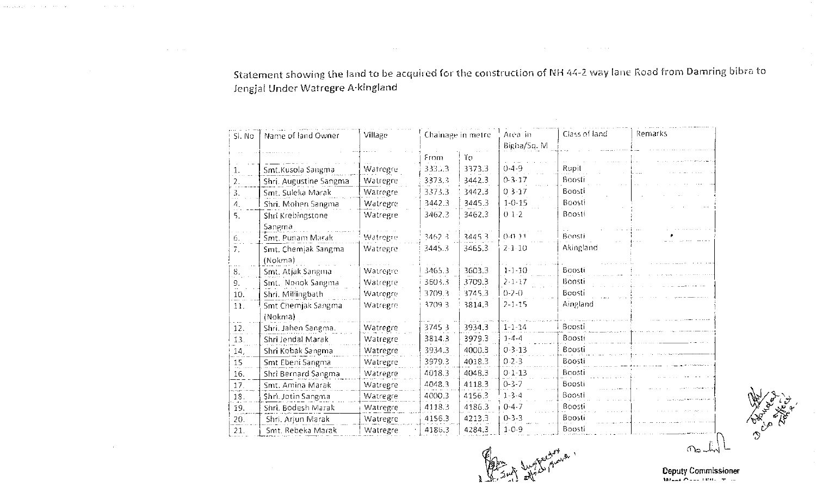Statement showing the land to be acquired for the construction of NH 44-2 way lane Road from Damring bibra to Jengjal Under Watregre A-kingland

the contract of the contract of the contract of

 $\mathcal{L}^{\mathcal{L}}(\mathcal{L}^{\mathcal{L}}(\mathcal{L}^{\mathcal{L}}(\mathcal{L}^{\mathcal{L}}(\mathcal{L}^{\mathcal{L}}(\mathcal{L}^{\mathcal{L}}(\mathcal{L}^{\mathcal{L}}(\mathcal{L}^{\mathcal{L}}(\mathcal{L}^{\mathcal{L}}(\mathcal{L}^{\mathcal{L}}(\mathcal{L}^{\mathcal{L}}(\mathcal{L}^{\mathcal{L}}(\mathcal{L}^{\mathcal{L}}(\mathcal{L}^{\mathcal{L}}(\mathcal{L}^{\mathcal{L}}(\mathcal{L}^{\mathcal{L}}(\mathcal{L}^{\mathcal{L$ 

 $\mathcal{L}^{\mathcal{L}}(\mathcal{L}^{\mathcal{L}}(\mathcal{L}^{\mathcal{L}}(\mathcal{L}^{\mathcal{L}}(\mathcal{L}^{\mathcal{L}}(\mathcal{L}^{\mathcal{L}}(\mathcal{L}^{\mathcal{L}}(\mathcal{L}^{\mathcal{L}}(\mathcal{L}^{\mathcal{L}}(\mathcal{L}^{\mathcal{L}}(\mathcal{L}^{\mathcal{L}}(\mathcal{L}^{\mathcal{L}}(\mathcal{L}^{\mathcal{L}}(\mathcal{L}^{\mathcal{L}}(\mathcal{L}^{\mathcal{L}}(\mathcal{L}^{\mathcal{L}}(\mathcal{L}^{\mathcal{L$ 

والمستحسب والمتابعات ووقوقو وقبلا

 $\mathcal{L}^{\mathcal{L}}$  , where  $\mathcal{L}^{\mathcal{L}}$  and  $\mathcal{L}^{\mathcal{L}}$  , where  $\mathcal{L}^{\mathcal{L}}$ 

 $\sim 10^7$ 

 $\sim 10^{-1}$ 

 $\sim 10^{-1}$ 

 $\mathcal{L}^{\mathcal{L}}(\mathbf{u})=\mathcal{L}^{\mathcal{L}}(\mathbf{u})$  .

| Sl. No | Name of land Owner     | Chainage in metre<br>Village |        |        | Area in<br>Bigha/Sq. M | Class of land | Remarks |
|--------|------------------------|------------------------------|--------|--------|------------------------|---------------|---------|
|        |                        |                              | From   | Τo     |                        |               |         |
| 1.     | Smt.Kusola Sangma      | Watregre                     | 3330.3 | 3373.3 | $0 - 4 - 9$            | Rupit         |         |
| 2.     | Shri. Augustine Sangma | Watregre                     | 3373.3 | 3442.3 | $0 - 3 - 17$           | Boosti        |         |
| 3.     | Smt. Suleka Marak      | Watregre                     | 3373.3 | 3442.3 | $03-17$                | Boosti        |         |
| 4.     | Shri, Mohen Sangma     | Watregre                     | 3442.3 | 3445.3 | $1 - 0.15$             | Boosti        |         |
| 5.     | Shri Krebingstone      | Watregre                     | 3462.3 | 3462.3 | $01-2$                 | Boosti        |         |
|        | Sangma                 |                              |        |        |                        |               |         |
| 6.     | Smt. Punam Marak       | Watregre                     | 3462.3 | 34453  | 0.0.11                 | Boosti        |         |
| 7.     | Smt. Chemjak Sangma    | Watregre                     | 3445.3 | 3465.3 | $2 - 1 - 10$           | Akingland     |         |
|        | (Nokma)                |                              |        |        |                        |               |         |
| 8.     | Smt. Atjak Sangma      | Watregre                     | 3465.3 | 3603.3 | $1 - 1 - 10$           | Boosti        |         |
| 9.     | Smt. Nonok Sangma      | Watregre                     | 3603.3 | 3709.3 | $2 - 1 - 17$           | Boosti        |         |
| 10.    | Shri. Millingbath      | Watregre                     | 3709.3 | 3745.3 | $0 - 2 - 0$            | Boosti        |         |
| 11.    | Smt Chemjak Sangma     | Watregre                     | 3709.3 | 3814.3 | $2 - 1 - 15$           | Aingland      |         |
|        | (Nokma)                |                              |        |        |                        |               |         |
| 12.    | Shri. Jahen Sangma.    | Watregre                     | 37453  | 3934.3 | $1 - 1 - 14$           | Boosti        |         |
| 13.    | Shri Jendal Marak      | Watregre                     | 3814.3 | 3979.3 | $1 - 4 - 4$            | Boosti        |         |
| 14,    | Shri Kobak Sangma      | Watregre                     | 3934.3 | 4000.3 | $0 - 3 - 13$           | Boosti        |         |
| 15     | Smt Ebeni Sangma       | Watregre                     | 3979.3 | 4018.3 | $0.2 - 3$              | Boosti        |         |
| 16.    | Shri Bernard Sangma    | Watregre                     | 4018.3 | 4048.3 | $0 - 1 - 13$           | Boosti        |         |
| 17.    | Smt. Amina Marak       | Watregre                     | 4048.3 | 4118.3 | $0 - 3 - 7$            | Boosti        |         |
| 18.    | Shri. Jotin Sangma     | Watregre                     | 4000.3 | 4156.3 | $1 - 3 - 4$            | Boosti        |         |
| 19.    | Shri, Bodesh Marak     | Watregre                     | 4118.3 | 4186.3 | $0 - 4 - 7$            | Boosti        |         |
| 20.    | Shri, Arjun Marak      | Watregre                     | 4156.3 | 4213.3 | $0 - 3 - 3$            | Boosti        |         |
| 21.    | Smt. Rebeka Marak      | Watregre                     | 4186.3 | 4284.3 | $1 - 0 - 9$            | Boosti        |         |

**RATION** 

 $\mathcal{F}_{\mathcal{A}}$ 

Deputy Commissioner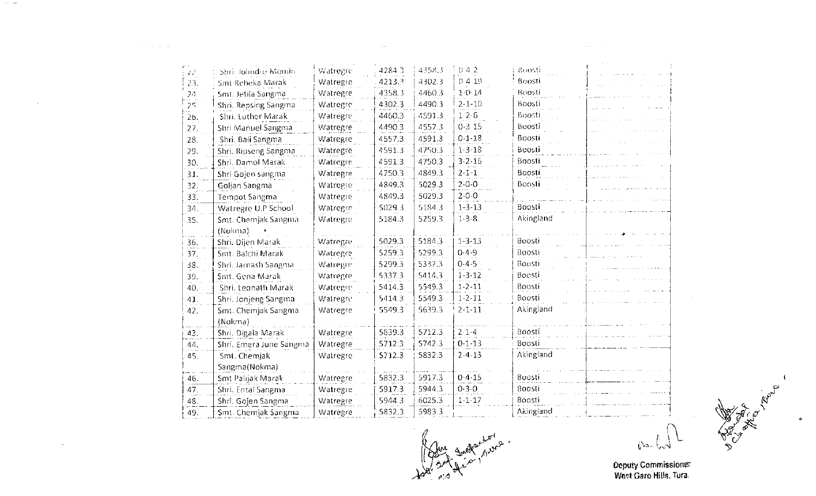| 042<br>4358.3<br>4284.3<br>Boosti<br>Watregre<br>Shri Tolindre Monun<br>22<br>0.419<br>Boosti<br>4302.3<br>4213.3<br>Smt Rebeka Marak<br>Watregre<br>23.<br>$1 - 0 - 14$<br>Boosti<br>4358.3<br>4460.3<br>Watregre<br>Smt. Jetila Sangma<br>24<br>Boosti<br>4302.3<br>4490.3<br>$2 - 1 - 10$<br>Shri. Repsing Sangma<br>Watregre<br>25.<br>Boosti<br>$1 - 2 - 6$<br>4591.3<br>Shri. Luther Marak<br>4460.3<br>Watregre<br>26.<br>$0-3$ 15<br>Boosti<br>4490.3<br>4557.3<br>Shri Manuel Sangma<br>Watregre<br>27.<br>Boosti<br>$0 - 1 - 18$<br>4591.3<br>Shri. Bali Sangma<br>4557.3<br>28.<br>Watregre<br>Boosti<br>$1 - 3 - 18$<br>4750.3<br>4591.3<br>Shri. Ripseng Sangma<br>29.<br>Watregre<br>Boosti<br>$3 - 2 - 16$<br>4591.3<br>4750.3<br>30.<br>Shri. Damol Marak<br>Watregre<br>4849.3<br>4750.3<br>$2 - 1 - 1$<br>Boosti<br>Shri Gojen sangma<br>Watregre<br>31.<br>5029.3<br>$2 - 0 - 0$<br>Boosti<br>4849.3<br>Watregre<br>32.<br>Goljan Sangma<br>$2 - 0 - 0$<br>4849.3<br>5029.3<br>Watregre<br><b>Tempot Sangma</b><br>33.<br>Boosti<br>5029.3<br>5184.3<br>$1 - 3 - 13$<br>Watregre U.P School<br>34.<br>Watregre<br>Akingland<br>5184.3<br>$1 - 3 - 8$<br>5259.3<br>Smt. Chemjak Sangma<br>Watregre<br>35.<br>(Nokma) |  |
|----------------------------------------------------------------------------------------------------------------------------------------------------------------------------------------------------------------------------------------------------------------------------------------------------------------------------------------------------------------------------------------------------------------------------------------------------------------------------------------------------------------------------------------------------------------------------------------------------------------------------------------------------------------------------------------------------------------------------------------------------------------------------------------------------------------------------------------------------------------------------------------------------------------------------------------------------------------------------------------------------------------------------------------------------------------------------------------------------------------------------------------------------------------------------------------------------------------------------------------|--|
|                                                                                                                                                                                                                                                                                                                                                                                                                                                                                                                                                                                                                                                                                                                                                                                                                                                                                                                                                                                                                                                                                                                                                                                                                                        |  |
|                                                                                                                                                                                                                                                                                                                                                                                                                                                                                                                                                                                                                                                                                                                                                                                                                                                                                                                                                                                                                                                                                                                                                                                                                                        |  |
|                                                                                                                                                                                                                                                                                                                                                                                                                                                                                                                                                                                                                                                                                                                                                                                                                                                                                                                                                                                                                                                                                                                                                                                                                                        |  |
|                                                                                                                                                                                                                                                                                                                                                                                                                                                                                                                                                                                                                                                                                                                                                                                                                                                                                                                                                                                                                                                                                                                                                                                                                                        |  |
|                                                                                                                                                                                                                                                                                                                                                                                                                                                                                                                                                                                                                                                                                                                                                                                                                                                                                                                                                                                                                                                                                                                                                                                                                                        |  |
|                                                                                                                                                                                                                                                                                                                                                                                                                                                                                                                                                                                                                                                                                                                                                                                                                                                                                                                                                                                                                                                                                                                                                                                                                                        |  |
|                                                                                                                                                                                                                                                                                                                                                                                                                                                                                                                                                                                                                                                                                                                                                                                                                                                                                                                                                                                                                                                                                                                                                                                                                                        |  |
|                                                                                                                                                                                                                                                                                                                                                                                                                                                                                                                                                                                                                                                                                                                                                                                                                                                                                                                                                                                                                                                                                                                                                                                                                                        |  |
|                                                                                                                                                                                                                                                                                                                                                                                                                                                                                                                                                                                                                                                                                                                                                                                                                                                                                                                                                                                                                                                                                                                                                                                                                                        |  |
|                                                                                                                                                                                                                                                                                                                                                                                                                                                                                                                                                                                                                                                                                                                                                                                                                                                                                                                                                                                                                                                                                                                                                                                                                                        |  |
|                                                                                                                                                                                                                                                                                                                                                                                                                                                                                                                                                                                                                                                                                                                                                                                                                                                                                                                                                                                                                                                                                                                                                                                                                                        |  |
|                                                                                                                                                                                                                                                                                                                                                                                                                                                                                                                                                                                                                                                                                                                                                                                                                                                                                                                                                                                                                                                                                                                                                                                                                                        |  |
|                                                                                                                                                                                                                                                                                                                                                                                                                                                                                                                                                                                                                                                                                                                                                                                                                                                                                                                                                                                                                                                                                                                                                                                                                                        |  |
|                                                                                                                                                                                                                                                                                                                                                                                                                                                                                                                                                                                                                                                                                                                                                                                                                                                                                                                                                                                                                                                                                                                                                                                                                                        |  |
|                                                                                                                                                                                                                                                                                                                                                                                                                                                                                                                                                                                                                                                                                                                                                                                                                                                                                                                                                                                                                                                                                                                                                                                                                                        |  |
| 5184.3<br>$1 - 3 - 13$<br>Boosti<br>5029.3<br>Shri. Dijen Marak<br>Watregre<br>36.                                                                                                                                                                                                                                                                                                                                                                                                                                                                                                                                                                                                                                                                                                                                                                                                                                                                                                                                                                                                                                                                                                                                                     |  |
| 5299.3<br>$0 - 4 - 9$<br>Boosti<br>5259.3<br>Smt. Balchi Marak<br>Watregre<br>37.                                                                                                                                                                                                                                                                                                                                                                                                                                                                                                                                                                                                                                                                                                                                                                                                                                                                                                                                                                                                                                                                                                                                                      |  |
| $0 - 4 - 5$<br>5299.3<br>5337.3<br>Boosti<br>Shri. Jarnash Sangma<br>38.<br>Watregre                                                                                                                                                                                                                                                                                                                                                                                                                                                                                                                                                                                                                                                                                                                                                                                                                                                                                                                                                                                                                                                                                                                                                   |  |
| $1 - 3 - 12$<br>Boosti<br>5337.3<br>5414.3<br>39.<br>Smt. Gena Marak<br>Watregre                                                                                                                                                                                                                                                                                                                                                                                                                                                                                                                                                                                                                                                                                                                                                                                                                                                                                                                                                                                                                                                                                                                                                       |  |
| Boosti<br>5414.3<br>5549.3<br>$1 - 2 - 11$<br>Watregre<br>40.<br>Shri. Leonath Marak                                                                                                                                                                                                                                                                                                                                                                                                                                                                                                                                                                                                                                                                                                                                                                                                                                                                                                                                                                                                                                                                                                                                                   |  |
| 5549.3<br>$1 - 2 - 11$<br>Boosti<br>5414.3<br>Shri. Jonjeng Sangma<br>Watregre<br>41.                                                                                                                                                                                                                                                                                                                                                                                                                                                                                                                                                                                                                                                                                                                                                                                                                                                                                                                                                                                                                                                                                                                                                  |  |
| Akingland<br>5639.3<br>$2 - 1 - 11$<br>5549.3<br>Smt. Chemjak Sangma<br>42.<br>Watregre                                                                                                                                                                                                                                                                                                                                                                                                                                                                                                                                                                                                                                                                                                                                                                                                                                                                                                                                                                                                                                                                                                                                                |  |
| (Nokma)                                                                                                                                                                                                                                                                                                                                                                                                                                                                                                                                                                                                                                                                                                                                                                                                                                                                                                                                                                                                                                                                                                                                                                                                                                |  |
| 5639.3<br>5712.3<br>$2.1 - 4$<br>Boosti<br>Shri. Digala Marak<br>Watregre<br>43.                                                                                                                                                                                                                                                                                                                                                                                                                                                                                                                                                                                                                                                                                                                                                                                                                                                                                                                                                                                                                                                                                                                                                       |  |
| Boosti<br>5742.3<br>5712.3<br>$0 - 1 - 13$<br>Shri. Emera June Sangma<br>Watregre<br>44.                                                                                                                                                                                                                                                                                                                                                                                                                                                                                                                                                                                                                                                                                                                                                                                                                                                                                                                                                                                                                                                                                                                                               |  |
| Akingland<br>5832.3<br>$2 - 4 - 13$<br>5712.3<br>Smt. Chemiak<br>45.<br>Watregre                                                                                                                                                                                                                                                                                                                                                                                                                                                                                                                                                                                                                                                                                                                                                                                                                                                                                                                                                                                                                                                                                                                                                       |  |
| Sangma(Nokma)                                                                                                                                                                                                                                                                                                                                                                                                                                                                                                                                                                                                                                                                                                                                                                                                                                                                                                                                                                                                                                                                                                                                                                                                                          |  |
| $0 - 4 - 15$<br>5832.3<br>5917.3<br>Boosti<br>Smt Palijak Marak<br>Watregre<br>46.                                                                                                                                                                                                                                                                                                                                                                                                                                                                                                                                                                                                                                                                                                                                                                                                                                                                                                                                                                                                                                                                                                                                                     |  |
| Boosti<br>5917.3<br>5944.3<br>$0 - 3 - 0$<br>47.<br>Shri. Ental Sangma<br>Watregre                                                                                                                                                                                                                                                                                                                                                                                                                                                                                                                                                                                                                                                                                                                                                                                                                                                                                                                                                                                                                                                                                                                                                     |  |
| Boosti<br>5944.3<br>6025.3<br>Shri. Gojen Sangma<br>$1 - 1 - 17$<br>48.<br>Watregre                                                                                                                                                                                                                                                                                                                                                                                                                                                                                                                                                                                                                                                                                                                                                                                                                                                                                                                                                                                                                                                                                                                                                    |  |
| Akingland<br>5983.3<br>Smt. Chemjak Sangma<br>5832.3<br>Watregre<br>49.                                                                                                                                                                                                                                                                                                                                                                                                                                                                                                                                                                                                                                                                                                                                                                                                                                                                                                                                                                                                                                                                                                                                                                |  |

 $\sim 14.4$   $\sim$ 

 $\mathcal{O}(2\pi\log m)$ 

 $\sim 10^{-10}$ 

 $\mathcal{A}^{\text{max}}$ 

 $\mathcal{L}^{\mathcal{L}}(\mathcal{L}^{\mathcal{L}})$  . The contribution of

 $\int_0^1$   $\int_0^1$   $\sqrt{1}$ 

 $\mathcal{L}^{\text{max}}_{\text{max}}$ 

**Ceputy Commissioner**<br>West Garo Hills, Tura.

ັ∕ເ

 $\sim$ 

 $\sim$ 

 $\mathcal{L}^{\mathcal{L}}$  , where  $\mathcal{L}^{\mathcal{L}}$  and  $\mathcal{L}^{\mathcal{L}}$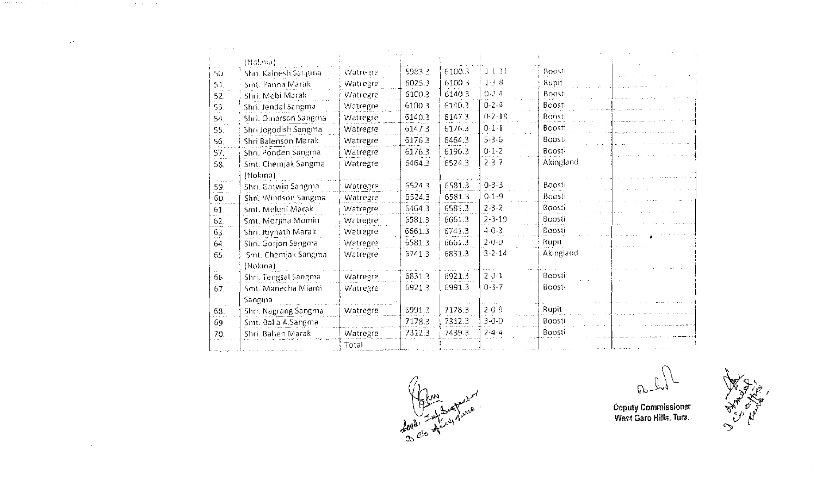| 50. | (Nolima)<br>Shri, Kalnesh Sangma | Watregre | 5983.3 | 6100.  | 1111         | Boosti    |
|-----|----------------------------------|----------|--------|--------|--------------|-----------|
| 51. | Sint, Panna Marak                | Watregre | 6025.3 | 6100.3 | 1.3.8        | Rupit     |
| 52. | Shri, Mebi Marak                 | Watregre | 6100.3 | 6140.3 | 0.24         | Boosti    |
| 53. | Shri. Jendal Sangma              | Watregre | 6100.3 | 6140.3 | $0 - 2 - 4$  | Boosti    |
| 54. | Shri, Omarson Sangma             | Watregre | 6140.3 | 6147.3 | $0 - 2 - 18$ | Boosti    |
| 55. | Shri Jogodish Sangma             | Watregre | 6147.3 | 6176.3 | $0.1-1$      | Boosti    |
| 56. | Shri Balenson Marak              | Watregre | 6176.3 | 6464.3 | $5.3 - 6$    | Boosti    |
| 57. | Shri. Ponden Sangma              | Watregre | 6176.3 | 6196.3 | $0 - 1 - 2$  | Boosti    |
| 58. | Smt. Chemjak Sangma              | Watregre | 6464.3 | 6524.3 | $2 - 3 - 7$  | Akingland |
|     | (Nokma)                          |          |        |        |              |           |
| 59. | Shri, Gatwin Sangma              | Watregre | 6524.3 | 6581.3 | $0 - 3 - 3$  | Boosti    |
| 60. | Shri. Windson Sangma             | Watregre | 6524.3 | 6581.3 | $0.1 - 9$    | Boosti    |
| 61. | Smt. Meleni Marak                | Watregre | 6464.3 | 6581.3 | $2 - 3 - 2$  | Boosti    |
| 62. | Smt. Morjina Momin               | Watregre | 6581.3 | 6661.3 | $2 - 3 - 19$ | Boosti    |
| 63. | Shri. Joynath Marak              | Watregre | 6661.3 | 6741.3 | $4 - 0 - 3$  | Boosti    |
| 64. | Shri. Gorjon Sangma              | Watregre | 6581.3 | 6661.3 | $2 - 0 - 0$  | Rupit     |
| 65. | Smt. Chemjak Sangma              | Watregre | 6741.3 | 6831.3 | $3 - 2 - 14$ | Akingland |
|     | (Nokma)                          |          |        |        |              |           |
| 66. | Shri. Tengsal Sangma             | Watregre | 6831.3 | 6921.3 | $20-1$       | Boosti    |
| 67. | Smt. Manecha Miami               | Watregre | 6921.3 | 6991.3 | $0 - 3 - 7$  | Boosti    |
|     | Sangma                           |          |        |        |              |           |
| 68. | Shri. Nagrang Sangma             | Watregre | 6991.3 | 7178.3 | $2 - 0 - 9$  | Rupit     |
| 69  | Sint. Balla A.Sangma             |          | 7178.3 | 7312.3 | $3 - 0 - 0$  | Boosti    |
| 70. | Shri. Bahen Marak                | Watregre | 7312.3 | 7439.3 | $2 - 4 - 4$  | Boosti    |
|     |                                  | Total    |        |        |              |           |

a di termini provinci della contra la companyazione della contra della contra della contra della contra della

 $\mathcal{L}^{\mathcal{L}}(\mathcal{L}^{\mathcal{L}}(\mathcal{L}^{\mathcal{L}}(\mathcal{L}^{\mathcal{L}}(\mathcal{L}^{\mathcal{L}}(\mathcal{L}^{\mathcal{L}}(\mathcal{L}^{\mathcal{L}}(\mathcal{L}^{\mathcal{L}}(\mathcal{L}^{\mathcal{L}}(\mathcal{L}^{\mathcal{L}}(\mathcal{L}^{\mathcal{L}}(\mathcal{L}^{\mathcal{L}}(\mathcal{L}^{\mathcal{L}}(\mathcal{L}^{\mathcal{L}}(\mathcal{L}^{\mathcal{L}}(\mathcal{L}^{\mathcal{L}}(\mathcal{L}^{\mathcal{L$ 



 $\mathbb{G}$ 

**Ceputy Commissioner**<br>West Garo Hills, Tura